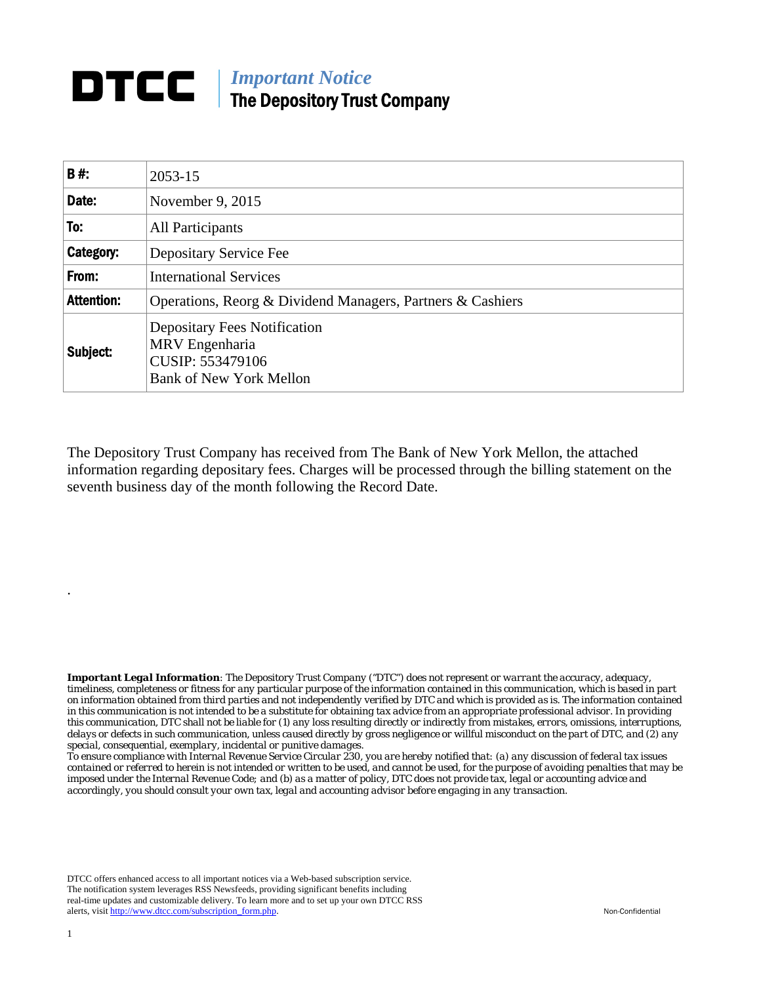## **DTCC** | *Important Notice* The Depository Trust Company

| <b>B#:</b>        | 2053-15                                                                                                     |
|-------------------|-------------------------------------------------------------------------------------------------------------|
| Date:             | November 9, 2015                                                                                            |
| To:               | All Participants                                                                                            |
| Category:         | Depositary Service Fee                                                                                      |
| From:             | <b>International Services</b>                                                                               |
| <b>Attention:</b> | Operations, Reorg & Dividend Managers, Partners & Cashiers                                                  |
| Subject:          | <b>Depositary Fees Notification</b><br>MRV Engenharia<br>CUSIP: 553479106<br><b>Bank of New York Mellon</b> |

The Depository Trust Company has received from The Bank of New York Mellon, the attached information regarding depositary fees. Charges will be processed through the billing statement on the seventh business day of the month following the Record Date.

*Important Legal Information: The Depository Trust Company ("DTC") does not represent or warrant the accuracy, adequacy, timeliness, completeness or fitness for any particular purpose of the information contained in this communication, which is based in part on information obtained from third parties and not independently verified by DTC and which is provided as is. The information contained in this communication is not intended to be a substitute for obtaining tax advice from an appropriate professional advisor. In providing this communication, DTC shall not be liable for (1) any loss resulting directly or indirectly from mistakes, errors, omissions, interruptions, delays or defects in such communication, unless caused directly by gross negligence or willful misconduct on the part of DTC, and (2) any special, consequential, exemplary, incidental or punitive damages.* 

*To ensure compliance with Internal Revenue Service Circular 230, you are hereby notified that: (a) any discussion of federal tax issues contained or referred to herein is not intended or written to be used, and cannot be used, for the purpose of avoiding penalties that may be imposed under the Internal Revenue Code; and (b) as a matter of policy, DTC does not provide tax, legal or accounting advice and accordingly, you should consult your own tax, legal and accounting advisor before engaging in any transaction.*

DTCC offers enhanced access to all important notices via a Web-based subscription service. The notification system leverages RSS Newsfeeds, providing significant benefits including real-time updates and customizable delivery. To learn more and to set up your own DTCC RSS alerts, visit http://www.dtcc.com/subscription\_form.php. Non-Confidential

.